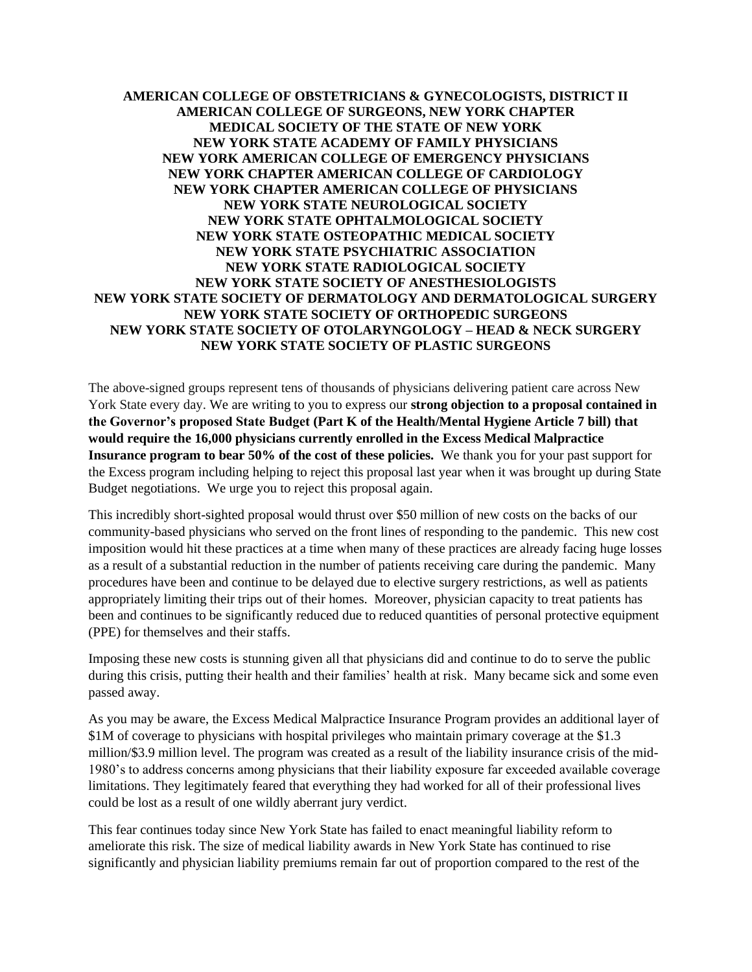## **AMERICAN COLLEGE OF OBSTETRICIANS & GYNECOLOGISTS, DISTRICT II AMERICAN COLLEGE OF SURGEONS, NEW YORK CHAPTER MEDICAL SOCIETY OF THE STATE OF NEW YORK NEW YORK STATE ACADEMY OF FAMILY PHYSICIANS NEW YORK AMERICAN COLLEGE OF EMERGENCY PHYSICIANS NEW YORK CHAPTER AMERICAN COLLEGE OF CARDIOLOGY NEW YORK CHAPTER AMERICAN COLLEGE OF PHYSICIANS NEW YORK STATE NEUROLOGICAL SOCIETY NEW YORK STATE OPHTALMOLOGICAL SOCIETY NEW YORK STATE OSTEOPATHIC MEDICAL SOCIETY NEW YORK STATE PSYCHIATRIC ASSOCIATION NEW YORK STATE RADIOLOGICAL SOCIETY NEW YORK STATE SOCIETY OF ANESTHESIOLOGISTS NEW YORK STATE SOCIETY OF DERMATOLOGY AND DERMATOLOGICAL SURGERY NEW YORK STATE SOCIETY OF ORTHOPEDIC SURGEONS NEW YORK STATE SOCIETY OF OTOLARYNGOLOGY – HEAD & NECK SURGERY NEW YORK STATE SOCIETY OF PLASTIC SURGEONS**

The above-signed groups represent tens of thousands of physicians delivering patient care across New York State every day. We are writing to you to express our **strong objection to a proposal contained in the Governor's proposed State Budget (Part K of the Health/Mental Hygiene Article 7 bill) that would require the 16,000 physicians currently enrolled in the Excess Medical Malpractice Insurance program to bear 50% of the cost of these policies.** We thank you for your past support for the Excess program including helping to reject this proposal last year when it was brought up during State Budget negotiations. We urge you to reject this proposal again.

This incredibly short-sighted proposal would thrust over \$50 million of new costs on the backs of our community-based physicians who served on the front lines of responding to the pandemic. This new cost imposition would hit these practices at a time when many of these practices are already facing huge losses as a result of a substantial reduction in the number of patients receiving care during the pandemic. Many procedures have been and continue to be delayed due to elective surgery restrictions, as well as patients appropriately limiting their trips out of their homes. Moreover, physician capacity to treat patients has been and continues to be significantly reduced due to reduced quantities of personal protective equipment (PPE) for themselves and their staffs.

Imposing these new costs is stunning given all that physicians did and continue to do to serve the public during this crisis, putting their health and their families' health at risk. Many became sick and some even passed away.

As you may be aware, the Excess Medical Malpractice Insurance Program provides an additional layer of \$1M of coverage to physicians with hospital privileges who maintain primary coverage at the \$1.3 million/\$3.9 million level. The program was created as a result of the liability insurance crisis of the mid-1980's to address concerns among physicians that their liability exposure far exceeded available coverage limitations. They legitimately feared that everything they had worked for all of their professional lives could be lost as a result of one wildly aberrant jury verdict.

This fear continues today since New York State has failed to enact meaningful liability reform to ameliorate this risk. The size of medical liability awards in New York State has continued to rise significantly and physician liability premiums remain far out of proportion compared to the rest of the